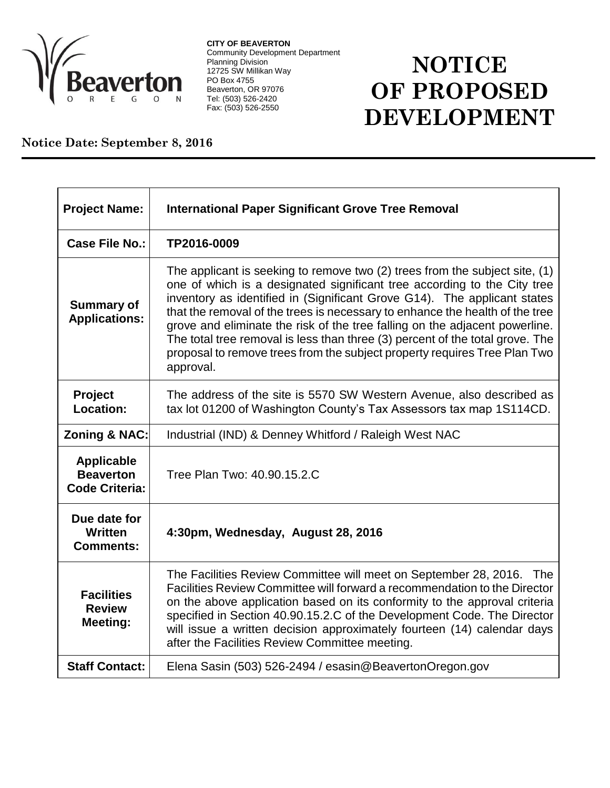

**CITY OF BEAVERTON** Community Development Department Planning Division 12725 SW Millikan Way PO Box 4755 Beaverton, OR 97076 Tel: (503) 526-2420 Fax: (503) 526-2550

## **NOTICE OF PROPOSED DEVELOPMENT**

**Notice Date: September 8, 2016**

| <b>Project Name:</b>                                           | <b>International Paper Significant Grove Tree Removal</b>                                                                                                                                                                                                                                                                                                                                                                                                                                                                                                                         |
|----------------------------------------------------------------|-----------------------------------------------------------------------------------------------------------------------------------------------------------------------------------------------------------------------------------------------------------------------------------------------------------------------------------------------------------------------------------------------------------------------------------------------------------------------------------------------------------------------------------------------------------------------------------|
| Case File No.:                                                 | TP2016-0009                                                                                                                                                                                                                                                                                                                                                                                                                                                                                                                                                                       |
| <b>Summary of</b><br><b>Applications:</b>                      | The applicant is seeking to remove two $(2)$ trees from the subject site, $(1)$<br>one of which is a designated significant tree according to the City tree<br>inventory as identified in (Significant Grove G14). The applicant states<br>that the removal of the trees is necessary to enhance the health of the tree<br>grove and eliminate the risk of the tree falling on the adjacent powerline.<br>The total tree removal is less than three (3) percent of the total grove. The<br>proposal to remove trees from the subject property requires Tree Plan Two<br>approval. |
| Project<br><b>Location:</b>                                    | The address of the site is 5570 SW Western Avenue, also described as<br>tax lot 01200 of Washington County's Tax Assessors tax map 1S114CD.                                                                                                                                                                                                                                                                                                                                                                                                                                       |
| Zoning & NAC:                                                  | Industrial (IND) & Denney Whitford / Raleigh West NAC                                                                                                                                                                                                                                                                                                                                                                                                                                                                                                                             |
| <b>Applicable</b><br><b>Beaverton</b><br><b>Code Criteria:</b> | Tree Plan Two: 40.90.15.2.C                                                                                                                                                                                                                                                                                                                                                                                                                                                                                                                                                       |
| Due date for<br><b>Written</b><br><b>Comments:</b>             | 4:30pm, Wednesday, August 28, 2016                                                                                                                                                                                                                                                                                                                                                                                                                                                                                                                                                |
| <b>Facilities</b><br><b>Review</b><br><b>Meeting:</b>          | The Facilities Review Committee will meet on September 28, 2016. The<br>Facilities Review Committee will forward a recommendation to the Director<br>on the above application based on its conformity to the approval criteria<br>specified in Section 40.90.15.2.C of the Development Code. The Director<br>will issue a written decision approximately fourteen (14) calendar days<br>after the Facilities Review Committee meeting.                                                                                                                                            |
| <b>Staff Contact:</b>                                          | Elena Sasin (503) 526-2494 / esasin@BeavertonOregon.gov                                                                                                                                                                                                                                                                                                                                                                                                                                                                                                                           |